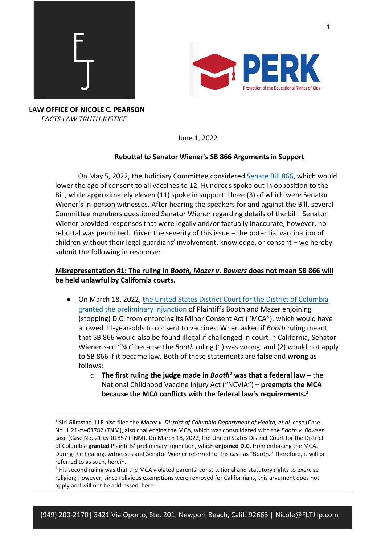



June 1, 2022

## **Rebuttal to Senator Wiener's SB 866 Arguments in Support**

On May 5, 2022, the Judiciary Committee considered Senate Bill 866, which would lower the age of consent to all vaccines to 12. Hundreds spoke out in opposition to the Bill, while approximately eleven (11) spoke in support, three (3) of which were Senator Wiener's in-person witnesses. After hearing the speakers for and against the Bill, several Committee members questioned Senator Wiener regarding details of the bill. Senator Wiener provided responses that were legally and/or factually inaccurate; however, no rebuttal was permitted. Given the severity of this issue – the potential vaccination of children without their legal guardians' involvement, knowledge, or consent – we hereby submit the following in response:

## **Misrepresentation #1: The ruling in** *Booth, Mazer v. Bowers* **does not mean SB 866 will be held unlawful by California courts.**

- On March 18, 2022, the United States District Court for the District of Columbia granted the preliminary injunction of Plaintiffs Booth and Mazer enjoining (stopping) D.C. from enforcing its Minor Consent Act ("MCA"), which would have allowed 11-year-olds to consent to vaccines. When asked if *Booth* ruling meant that SB 866 would also be found illegal if challenged in court in California, Senator Wiener said "No" because the *Booth* ruling (1) was wrong, and (2) would not apply to SB 866 if it became law. Both of these statements are **false** and **wrong** as follows:
	- o **The first ruling the judge made in** *Booth1* **was that a federal law –** the National Childhood Vaccine Injury Act ("NCVIA") – **preempts the MCA because the MCA conflicts with the federal law's requirements. 2**

<sup>1</sup> Siri Glimstad, LLP also filed the *Mazer v. District of Columbia Department of Health, et al.* case (Case No. 1:21-cv-01782 (TNM), also challenging the MCA, which was consolidated with the *Booth v. Bowser*  case (Case No. 21-cv-01857 (TNM). On March 18, 2022, the United States District Court for the District of Columbia **granted** Plaintiffs' preliminary injunction, which **enjoined D.C.** from enforcing the MCA. During the hearing, witnesses and Senator Wiener referred to this case as "Booth." Therefore, it will be referred to as such, herein.

<sup>&</sup>lt;sup>2</sup> His second ruling was that the MCA violated parents' constitutional and statutory rights to exercise religion; however, since religious exemptions were removed for Californians, this argument does not apply and will not be addressed, here.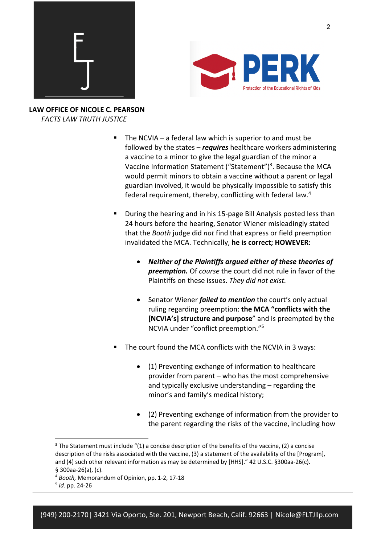



- The NCVIA a federal law which is superior to and must be followed by the states – *requires* healthcare workers administering a vaccine to a minor to give the legal guardian of the minor a Vaccine Information Statement ("Statement")<sup>3</sup>. Because the MCA would permit minors to obtain a vaccine without a parent or legal guardian involved, it would be physically impossible to satisfy this federal requirement, thereby, conflicting with federal law.4
- § During the hearing and in his 15-page Bill Analysis posted less than 24 hours before the hearing, Senator Wiener misleadingly stated that the *Booth* judge did *not* find that express or field preemption invalidated the MCA. Technically, **he is correct; HOWEVER:** 
	- *Neither of the Plaintiffs argued either of these theories of preemption.* Of *course* the court did not rule in favor of the Plaintiffs on these issues. *They did not exist.*
	- Senator Wiener *failed to mention* the court's only actual ruling regarding preemption: **the MCA "conflicts with the [NCVIA's] structure and purpose**" and is preempted by the NCVIA under "conflict preemption."5
- The court found the MCA conflicts with the NCVIA in 3 ways:
	- (1) Preventing exchange of information to healthcare provider from parent – who has the most comprehensive and typically exclusive understanding – regarding the minor's and family's medical history;
	- (2) Preventing exchange of information from the provider to the parent regarding the risks of the vaccine, including how

<sup>&</sup>lt;sup>3</sup> The Statement must include "(1) a concise description of the benefits of the vaccine, (2) a concise description of the risks associated with the vaccine, (3) a statement of the availability of the [Program], and (4) such other relevant information as may be determined by [HHS]." 42 U.S.C. §300aa-26(c). § 300aa-26(a), (c).

<sup>4</sup> *Booth,* Memorandum of Opinion, pp. 1-2, 17-18

<sup>5</sup> *Id.* pp. 24-26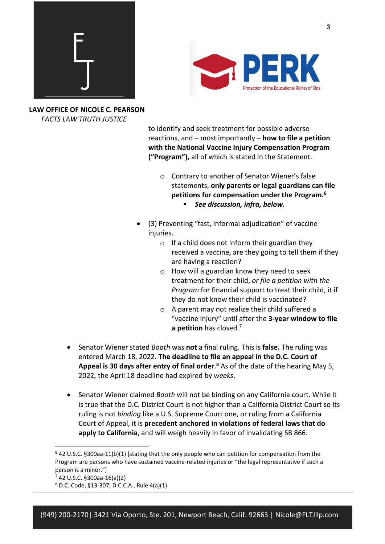



to identify and seek treatment for possible adverse reactions, and – most importantly – **how to file a petition with the National Vaccine Injury Compensation Program ("Program"),** all of which is stated in the Statement.

- o Contrary to another of Senator Wiener's false statements, **only parents or legal guardians can file petitions for compensation under the Program.6** § *See discussion, infra, below.*
- (3) Preventing "fast, informal adjudication" of vaccine injuries.
	- $\circ$  If a child does not inform their guardian they received a vaccine, are they going to tell them if they are having a reaction?
	- $\circ$  How will a guardian know they need to seek treatment for their child, *or file a petition with the Program* for financial support to treat their child, it if they do not know their child is vaccinated?
	- o A parent may not realize their child suffered a "vaccine injury" until after the **3-year window to file a petition** has closed. 7
- Senator Wiener stated *Booth* was **not** a final ruling. This is **false.** The ruling was entered March 18, 2022. **The deadline to file an appeal in the D.C. Court of**  Appeal is 30 days after entry of final order.<sup>8</sup> As of the date of the hearing May 5, 2022, the April 18 deadline had expired by *weeks*.
- Senator Wiener claimed *Booth* will not be binding on any California court. While it is true that the D.C. District Court is not higher than a California District Court so its ruling is not *binding* like a U.S. Supreme Court one, or ruling from a California Court of Appeal, it is **precedent anchored in violations of federal laws that do apply to California**, and will weigh heavily in favor of invalidating SB 866.

 $6$  42 U.S.C. §300aa-11(b)(1) [stating that the only people who can petition for compensation from the Program are persons who have sustained vaccine-related injuries or "the legal representative if such a person is a minor."]

 $7$  42 U.S.C. §300aa-16(a)(2)<br><sup>8</sup> D.C. Code, §13-307; D.C.C.A., Rule 4(a)(1)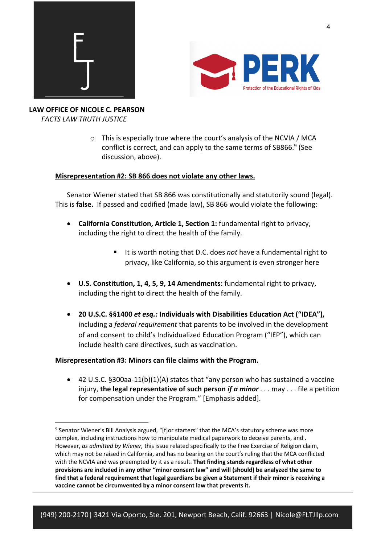



> o This is especially true where the court's analysis of the NCVIA / MCA conflict is correct, and can apply to the same terms of SB866.<sup>9</sup> (See discussion, above).

### **Misrepresentation #2: SB 866 does not violate any other laws.**

Senator Wiener stated that SB 866 was constitutionally and statutorily sound (legal). This is **false.** If passed and codified (made law), SB 866 would violate the following:

- **California Constitution, Article 1, Section 1:** fundamental right to privacy, including the right to direct the health of the family.
	- It is worth noting that D.C. does *not* have a fundamental right to privacy, like California, so this argument is even stronger here
- **U.S. Constitution, 1, 4, 5, 9, 14 Amendments:** fundamental right to privacy, including the right to direct the health of the family.
- **20 U.S.C. §§1400** *et esq.:* **Individuals with Disabilities Education Act ("IDEA"),**  including a *federal requirement* that parents to be involved in the development of and consent to child's Individualized Education Program ("IEP"), which can include health care directives, such as vaccination.

### **Misrepresentation #3: Minors can file claims with the Program.**

• 42 U.S.C. §300aa-11(b)(1)(A) states that "any person who has sustained a vaccine injury, **the legal representative of such person** *if a minor . . .* may . . . file a petition for compensation under the Program." [Emphasis added].

 $9$  Senator Wiener's Bill Analysis argued, "[f]or starters" that the MCA's statutory scheme was more complex, including instructions how to manipulate medical paperwork to deceive parents, and . However, *as admitted by Wiener,* this issue related specifically to the Free Exercise of Religion claim, which may not be raised in California, and has no bearing on the court's ruling that the MCA conflicted with the NCVIA and was preempted by it as a result. **That finding stands regardless of what other provisions are included in any other "minor consent law" and will (should) be analyzed the same to find that a federal requirement that legal guardians be given a Statement if their minor is receiving a vaccine cannot be circumvented by a minor consent law that prevents it.**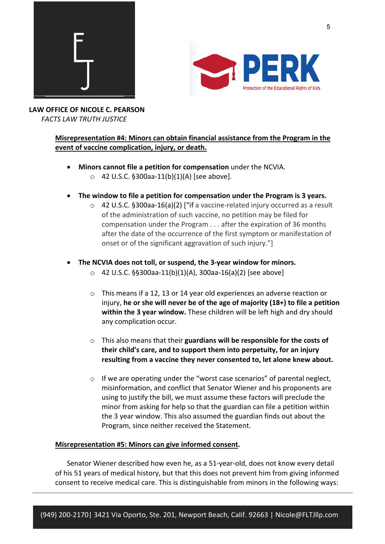



**LAW OFFICE OF NICOLE C. PEARSON**  *FACTS LAW TRUTH JUSTICE*

### **Misrepresentation #4: Minors can obtain financial assistance from the Program in the event of vaccine complication, injury, or death.**

- **Minors cannot file a petition for compensation** under the NCVIA.  $\circ$  42 U.S.C. §300aa-11(b)(1)(A) [see above].
- **The window to file a petition for compensation under the Program is 3 years.**
	- o 42 U.S.C. §300aa-16(a)(2) ["if a vaccine-related injury occurred as a result of the administration of such vaccine, no petition may be filed for compensation under the Program . . . after the expiration of 36 months after the date of the occurrence of the first symptom or manifestation of onset or of the significant aggravation of such injury."]
- **The NCVIA does not toll, or suspend, the 3-year window for minors.** 
	- o 42 U.S.C. §§300aa-11(b)(1)(A), 300aa-16(a)(2) [see above]
	- o This means if a 12, 13 or 14 year old experiences an adverse reaction or injury, **he or she will never be of the age of majority (18+) to file a petition within the 3 year window.** These children will be left high and dry should any complication occur.
	- o This also means that their **guardians will be responsible for the costs of their child's care, and to support them into perpetuity, for an injury resulting from a vaccine they never consented to, let alone knew about.**
	- o If we are operating under the "worst case scenarios" of parental neglect, misinformation, and conflict that Senator Wiener and his proponents are using to justify the bill, we must assume these factors will preclude the minor from asking for help so that the guardian can file a petition within the 3 year window. This also assumed the guardian finds out about the Program, since neither received the Statement.

### **Misrepresentation #5: Minors can give informed consent.**

Senator Wiener described how even he, as a 51-year-old, does not know every detail of his 51 years of medical history, but that this does not prevent him from giving informed consent to receive medical care. This is distinguishable from minors in the following ways: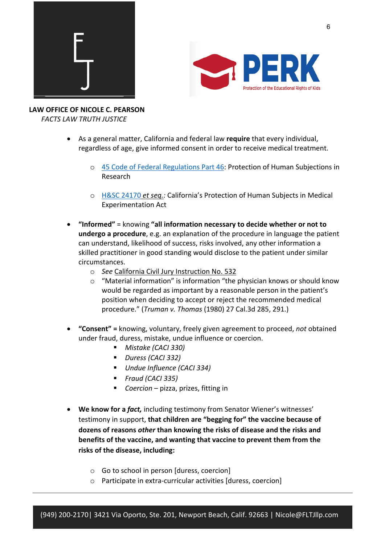



- As a general matter, California and federal law **require** that every individual, regardless of age, give informed consent in order to receive medical treatment.
	- o 45 Code of Federal Regulations Part 46: Protection of Human Subjections in Research
	- o H&SC 24170 *et seq.:* California's Protection of Human Subjects in Medical Experimentation Act
- **"Informed"** = knowing **"all information necessary to decide whether or not to undergo a procedure**, e.g. an explanation of the procedure in language the patient can understand, likelihood of success, risks involved, any other information a skilled practitioner in good standing would disclose to the patient under similar circumstances.
	- o *See* California Civil Jury Instruction No. 532
	- $\circ$  "Material information" is information "the physician knows or should know would be regarded as important by a reasonable person in the patient's position when deciding to accept or reject the recommended medical procedure." (*Truman v. Thomas* (1980) 27 Cal.3d 285, 291.)
- **"Consent" =** knowing, voluntary, freely given agreement to proceed, *not* obtained under fraud, duress, mistake, undue influence or coercion.
	- § *Mistake (CACI 330)*
	- § *Duress (CACI 332)*
	- § *Undue Influence (CACI 334)*
	- § *Fraud (CACI 335)*
	- § *Coercion*  pizza, prizes, fitting in
- **We know for a** *fact,* including testimony from Senator Wiener's witnesses' testimony in support, **that children are "begging for" the vaccine because of dozens of reasons** *other* **than knowing the risks of disease and the risks and benefits of the vaccine, and wanting that vaccine to prevent them from the risks of the disease, including:** 
	- o Go to school in person [duress, coercion]
	- o Participate in extra-curricular activities [duress, coercion]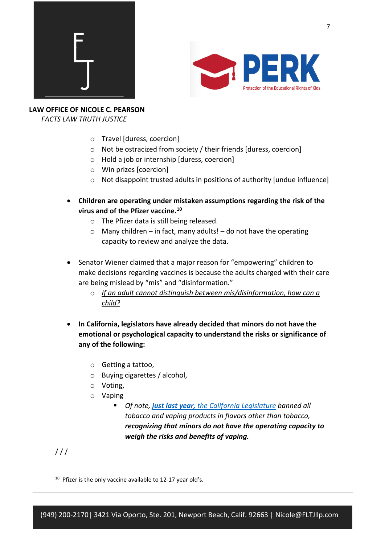



# **LAW OFFICE OF NICOLE C. PEARSON**

 *FACTS LAW TRUTH JUSTICE*

- o Travel [duress, coercion]
- o Not be ostracized from society / their friends [duress, coercion]
- o Hold a job or internship [duress, coercion]
- o Win prizes [coercion]
- o Not disappoint trusted adults in positions of authority [undue influence]
- **Children are operating under mistaken assumptions regarding the risk of the virus and of the Pfizer vaccine. 10**
	- o The Pfizer data is still being released.
	- $\circ$  Many children in fact, many adults! do not have the operating capacity to review and analyze the data.
- Senator Wiener claimed that a major reason for "empowering" children to make decisions regarding vaccines is because the adults charged with their care are being mislead by "mis" and "disinformation."
	- o *If an adult cannot distinguish between mis/disinformation, how can a child?*
- **In California, legislators have already decided that minors do not have the emotional or psychological capacity to understand the risks or significance of any of the following:** 
	- o Getting a tattoo,
	- o Buying cigarettes / alcohol,
	- o Voting,
	- o Vaping
		- § *Of note, just last year, the California Legislature banned all tobacco and vaping products in flavors other than tobacco, recognizing that minors do not have the operating capacity to weigh the risks and benefits of vaping.*

 $111$ 

<sup>&</sup>lt;sup>10</sup> Pfizer is the only vaccine available to 12-17 year old's.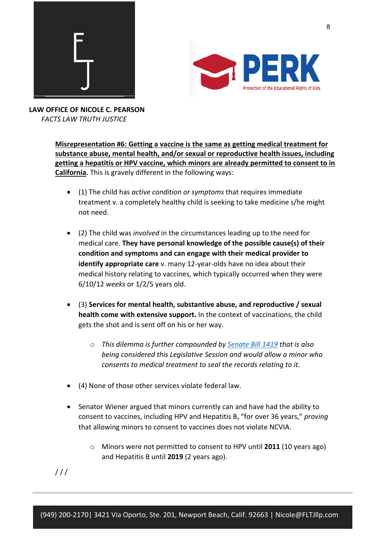

![](_page_7_Picture_1.jpeg)

> **Misrepresentation #6: Getting a vaccine is the same as getting medical treatment for substance abuse, mental health, and/or sexual or reproductive health issues, including getting a hepatitis or HPV vaccine, which minors are already permitted to consent to in California.** This is gravely different in the following ways:

- (1) The child has *active condition or symptoms* that requires immediate treatment v. a completely healthy child is seeking to take medicine s/he might not need.
- (2) The child was *involved* in the circumstances leading up to the need for medical care. **They have personal knowledge of the possible cause(s) of their condition and symptoms and can engage with their medical provider to identify appropriate care** v. many 12-year-olds have no idea about their medical history relating to vaccines, which typically occurred when they were 6/10/12 *weeks* or 1/2/5 years old.
- (3) **Services for mental health, substantive abuse, and reproductive / sexual health come with extensive support.** In the context of vaccinations, the child gets the shot and is sent off on his or her way.
	- o *This dilemma is further compounded by Senate Bill 1419 that is also being considered this Legislative Session and would allow a minor who consents to medical treatment to seal the records relating to it*.
- (4) None of those other services violate federal law.
- Senator Wiener argued that minors currently can and have had the ability to consent to vaccines, including HPV and Hepatitis B, "for over 36 years," *proving*  that allowing minors to consent to vaccines does not violate NCVIA.
	- o Minors were not permitted to consent to HPV until **2011** (10 years ago) and Hepatitis B until **2019** (2 years ago).

 $111$ 

8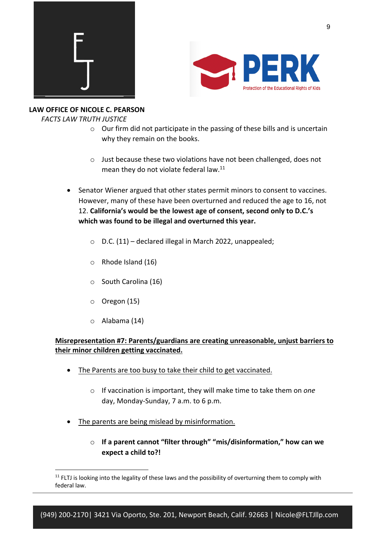![](_page_8_Picture_0.jpeg)

![](_page_8_Picture_1.jpeg)

### **LAW OFFICE OF NICOLE C. PEARSON**

 *FACTS LAW TRUTH JUSTICE*

- $\circ$  Our firm did not participate in the passing of these bills and is uncertain why they remain on the books.
- o Just because these two violations have not been challenged, does not mean they do not violate federal law.<sup>11</sup>
- Senator Wiener argued that other states permit minors to consent to vaccines. However, many of these have been overturned and reduced the age to 16, not 12. **California's would be the lowest age of consent, second only to D.C.'s which was found to be illegal and overturned this year.**
	- o D.C. (11) declared illegal in March 2022, unappealed;
	- o Rhode Island (16)
	- o South Carolina (16)
	- o Oregon (15)
	- o Alabama (14)

## **Misrepresentation #7: Parents/guardians are creating unreasonable, unjust barriers to their minor children getting vaccinated.**

- The Parents are too busy to take their child to get vaccinated.
	- o If vaccination is important, they will make time to take them on *one*  day, Monday-Sunday, 7 a.m. to 6 p.m.
- The parents are being mislead by misinformation.
	- o **If a parent cannot "filter through" "mis/disinformation," how can we expect a child to?!**

 $11$  FLTJ is looking into the legality of these laws and the possibility of overturning them to comply with federal law.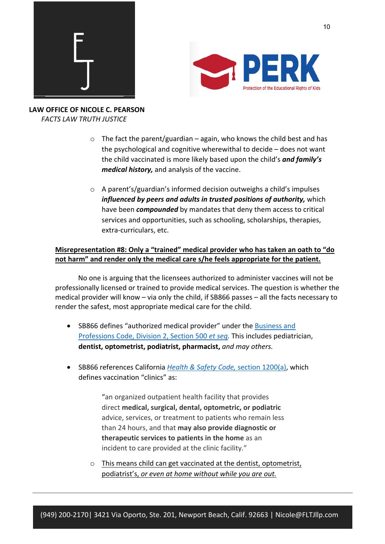![](_page_9_Picture_0.jpeg)

![](_page_9_Picture_1.jpeg)

- $\circ$  The fact the parent/guardian again, who knows the child best and has the psychological and cognitive wherewithal to decide – does not want the child vaccinated is more likely based upon the child's *and family's medical history,* and analysis of the vaccine.
- o A parent's/guardian's informed decision outweighs a child's impulses *influenced by peers and adults in trusted positions of authority,* which have been *compounded* by mandates that deny them access to critical services and opportunities, such as schooling, scholarships, therapies, extra-curriculars, etc.

## **Misrepresentation #8: Only a "trained" medical provider who has taken an oath to "do not harm" and render only the medical care s/he feels appropriate for the patient.**

No one is arguing that the licensees authorized to administer vaccines will not be professionally licensed or trained to provide medical services. The question is whether the medical provider will know – via only the child, if SB866 passes – all the facts necessary to render the safest, most appropriate medical care for the child.

- SB866 defines "authorized medical provider" under the Business and Professions Code, Division 2, Section 500 *et seq.* This includes pediatrician, **dentist, optometrist, podiatrist, pharmacist,** *and may others.*
- SB866 references California *Health & Safety Code,* section 1200(a), which defines vaccination "clinics" as:

"an organized outpatient health facility that provides direct **medical, surgical, dental, optometric, or podiatric** advice, services, or treatment to patients who remain less than 24 hours, and that **may also provide diagnostic or therapeutic services to patients in the home** as an incident to care provided at the clinic facility."

o This means child can get vaccinated at the dentist, optometrist, podiatrist's, *or even at home without while you are out.*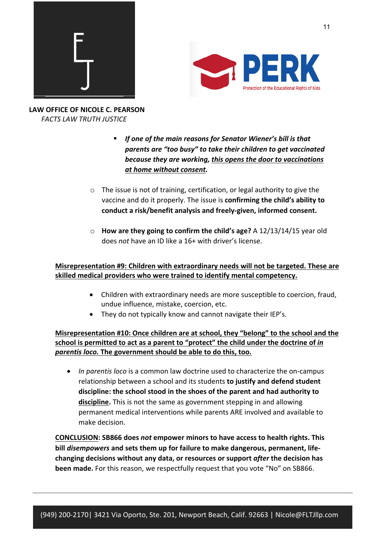![](_page_10_Picture_0.jpeg)

![](_page_10_Picture_1.jpeg)

- If one of the main reasons for Senator Wiener's bill is that *parents are "too busy" to take their children to get vaccinated because they are working, this opens the door to vaccinations at home without consent.*
- $\circ$  The issue is not of training, certification, or legal authority to give the vaccine and do it properly. The issue is **confirming the child's ability to conduct a risk/benefit analysis and freely-given, informed consent.**
- o **How are they going to confirm the child's age?** A 12/13/14/15 year old does *not* have an ID like a 16+ with driver's license.

## **Misrepresentation #9: Children with extraordinary needs will not be targeted. These are skilled medical providers who were trained to identify mental competency.**

- Children with extraordinary needs are more susceptible to coercion, fraud, undue influence, mistake, coercion, etc.
- They do not typically know and cannot navigate their IEP's.

**Misrepresentation #10: Once children are at school, they "belong" to the school and the**  school is permitted to act as a parent to "protect" the child under the doctrine of *in parentis loco.* **The government should be able to do this, too.**

• *In parentis loco* is a common law doctrine used to characterize the on-campus relationship between a school and its students **to justify and defend student discipline: the school stood in the shoes of the parent and had authority to discipline.** This is not the same as government stepping in and allowing permanent medical interventions while parents ARE involved and available to make decision.

**CONCLUSION: SB866 does** *not* **empower minors to have access to health rights. This bill** *disempowers* **and sets them up for failure to make dangerous, permanent, lifechanging decisions without any data, or resources or support** *after* **the decision has been made.** For this reason, we respectfully request that you vote "No" on SB866.